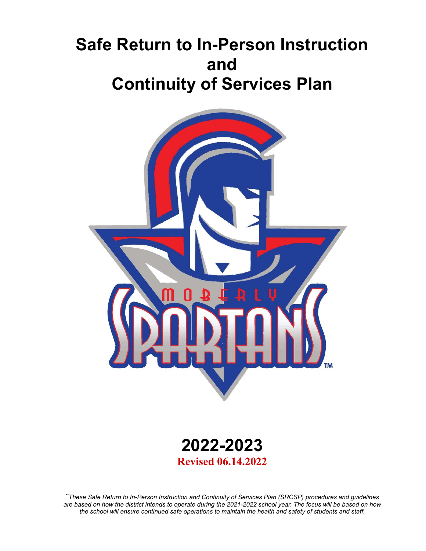# **Safe Return to In-Person Instruction and Continuity of Services Plan**





*\*\*These Safe Return to In-Person Instruction and Continuity of Services Plan (SRCSP) procedures and guidelines are based on how the district intends to operate during the 2021-2022 school year. The focus will be based on how the school will ensure continued safe operations to maintain the health and safety of students and staff.*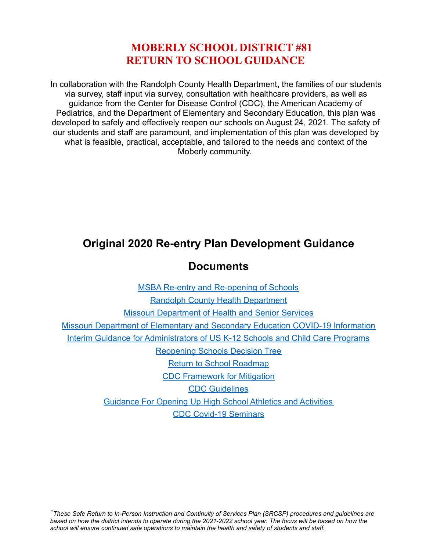## **MOBERLY SCHOOL DISTRICT #81 RETURN TO SCHOOL GUIDANCE**

In collaboration with the Randolph County Health Department, the families of our students via survey, staff input via survey, consultation with healthcare providers, as well as guidance from the Center for Disease Control (CDC), the American Academy of Pediatrics, and the Department of Elementary and Secondary Education, this plan was developed to safely and effectively reopen our schools on August 24, 2021. The safety of our students and staff are paramount, and implementation of this plan was developed by what is feasible, practical, acceptable, and tailored to the needs and context of the Moberly community.

# **Original 2020 Re-entry Plan Development Guidance**

#### **Documents**

| <b>MSBA Re-entry and Re-opening of Schools</b>                                        |
|---------------------------------------------------------------------------------------|
| <b>Randolph County Health Department</b>                                              |
| <b>Missouri Department of Health and Senior Services</b>                              |
| <b>Missouri Department of Elementary and Secondary Education COVID-19 Information</b> |
| Interim Guidance for Administrators of US K-12 Schools and Child Care Programs        |
| <b>Reopening Schools Decision Tree</b>                                                |
| <b>Return to School Roadmap</b>                                                       |
| <b>CDC Framework for Mitigation</b>                                                   |
| <b>CDC Guidelines</b>                                                                 |
| <b>Guidance For Opening Up High School Athletics and Activities</b>                   |
| <b>CDC Covid-19 Seminars</b>                                                          |

*\*\*These Safe Return to In-Person Instruction and Continuity of Services Plan (SRCSP) procedures and guidelines are based on how the district intends to operate during the 2021-2022 school year. The focus will be based on how the school will ensure continued safe operations to maintain the health and safety of students and staff.*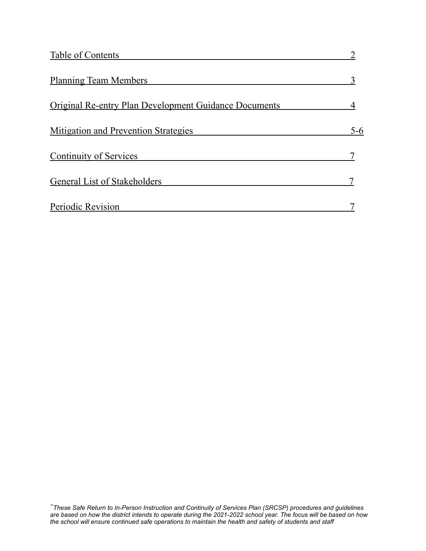| Table of Contents                                            |         |
|--------------------------------------------------------------|---------|
| <b>Planning Team Members</b>                                 |         |
| <b>Original Re-entry Plan Development Guidance Documents</b> |         |
| Mitigation and Prevention Strategies                         | $5 - 6$ |
| <b>Continuity of Services</b>                                |         |
| <b>General List of Stakeholders</b>                          |         |
| Periodic Revision                                            |         |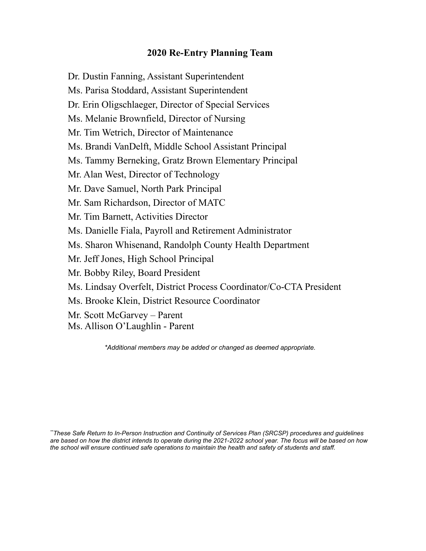#### **2020 Re-Entry Planning Team**

Dr. Dustin Fanning, Assistant Superintendent Ms. Parisa Stoddard, Assistant Superintendent Dr. Erin Oligschlaeger, Director of Special Services Ms. Melanie Brownfield, Director of Nursing Mr. Tim Wetrich, Director of Maintenance Ms. Brandi VanDelft, Middle School Assistant Principal Ms. Tammy Berneking, Gratz Brown Elementary Principal Mr. Alan West, Director of Technology Mr. Dave Samuel, North Park Principal Mr. Sam Richardson, Director of MATC Mr. Tim Barnett, Activities Director Ms. Danielle Fiala, Payroll and Retirement Administrator Ms. Sharon Whisenand, Randolph County Health Department Mr. Jeff Jones, High School Principal Mr. Bobby Riley, Board President Ms. Lindsay Overfelt, District Process Coordinator/Co-CTA President Ms. Brooke Klein, District Resource Coordinator Mr. Scott McGarvey – Parent Ms. Allison O'Laughlin - Parent

*\*Additional members may be added or changed as deemed appropriate.*

*\*\*These Safe Return to In-Person Instruction and Continuity of Services Plan (SRCSP) procedures and guidelines are based on how the district intends to operate during the 2021-2022 school year. The focus will be based on how the school will ensure continued safe operations to maintain the health and safety of students and staff.*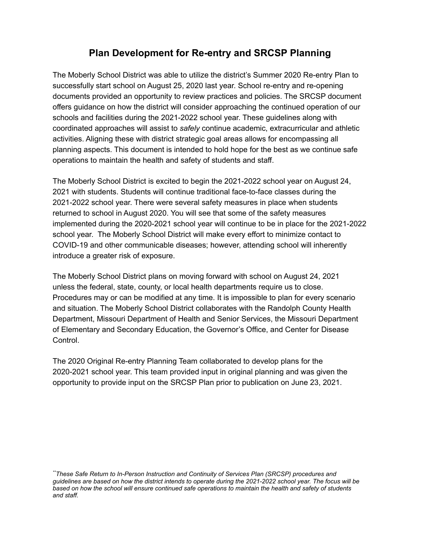#### **Plan Development for Re-entry and SRCSP Planning**

The Moberly School District was able to utilize the district's Summer 2020 Re-entry Plan to successfully start school on August 25, 2020 last year. School re-entry and re-opening documents provided an opportunity to review practices and policies. The SRCSP document offers guidance on how the district will consider approaching the continued operation of our schools and facilities during the 2021-2022 school year. These guidelines along with coordinated approaches will assist to *safely* continue academic, extracurricular and athletic activities. Aligning these with district strategic goal areas allows for encompassing all planning aspects. This document is intended to hold hope for the best as we continue safe operations to maintain the health and safety of students and staff.

The Moberly School District is excited to begin the 2021-2022 school year on August 24, 2021 with students. Students will continue traditional face-to-face classes during the 2021-2022 school year. There were several safety measures in place when students returned to school in August 2020. You will see that some of the safety measures implemented during the 2020-2021 school year will continue to be in place for the 2021-2022 school year. The Moberly School District will make every effort to minimize contact to COVID-19 and other communicable diseases; however, attending school will inherently introduce a greater risk of exposure.

The Moberly School District plans on moving forward with school on August 24, 2021 unless the federal, state, county, or local health departments require us to close. Procedures may or can be modified at any time. It is impossible to plan for every scenario and situation. The Moberly School District collaborates with the Randolph County Health Department, Missouri Department of Health and Senior Services, the Missouri Department of Elementary and Secondary Education, the Governor's Office, and Center for Disease Control.

The 2020 Original Re-entry Planning Team collaborated to develop plans for the 2020-2021 school year. This team provided input in original planning and was given the opportunity to provide input on the SRCSP Plan prior to publication on June 23, 2021.

*\*\*These Safe Return to In-Person Instruction and Continuity of Services Plan (SRCSP) procedures and guidelines are based on how the district intends to operate during the 2021-2022 school year. The focus will be based on how the school will ensure continued safe operations to maintain the health and safety of students and staff.*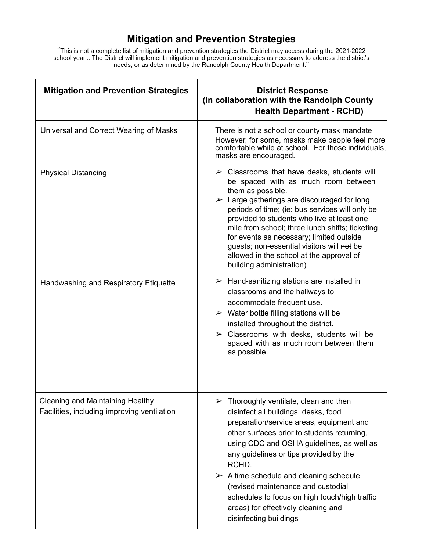## **Mitigation and Prevention Strategies**

\*\*This is not a complete list of mitigation and prevention strategies the District may access during the 2021-2022 school year... The District will implement mitigation and prevention strategies as necessary to address the district's needs, or as determined by the Randolph County Health Department.<sup>\*\*</sup>

| <b>Mitigation and Prevention Strategies</b>                                            | <b>District Response</b><br>(In collaboration with the Randolph County<br><b>Health Department - RCHD)</b>                                                                                                                                                                                                                                                                                                                                                                                                 |
|----------------------------------------------------------------------------------------|------------------------------------------------------------------------------------------------------------------------------------------------------------------------------------------------------------------------------------------------------------------------------------------------------------------------------------------------------------------------------------------------------------------------------------------------------------------------------------------------------------|
| Universal and Correct Wearing of Masks                                                 | There is not a school or county mask mandate<br>However, for some, masks make people feel more<br>comfortable while at school. For those individuals,<br>masks are encouraged.                                                                                                                                                                                                                                                                                                                             |
| <b>Physical Distancing</b>                                                             | $\triangleright$ Classrooms that have desks, students will<br>be spaced with as much room between<br>them as possible.<br>$\triangleright$ Large gatherings are discouraged for long<br>periods of time; (ie: bus services will only be<br>provided to students who live at least one<br>mile from school; three lunch shifts; ticketing<br>for events as necessary; limited outside<br>guests; non-essential visitors will not be<br>allowed in the school at the approval of<br>building administration) |
| Handwashing and Respiratory Etiquette                                                  | $\triangleright$ Hand-sanitizing stations are installed in<br>classrooms and the hallways to<br>accommodate frequent use.<br>$\triangleright$ Water bottle filling stations will be<br>installed throughout the district.<br>$\triangleright$ Classrooms with desks, students will be<br>spaced with as much room between them<br>as possible.                                                                                                                                                             |
| <b>Cleaning and Maintaining Healthy</b><br>Facilities, including improving ventilation | $\triangleright$ Thoroughly ventilate, clean and then<br>disinfect all buildings, desks, food<br>preparation/service areas, equipment and<br>other surfaces prior to students returning,<br>using CDC and OSHA guidelines, as well as<br>any guidelines or tips provided by the<br>RCHD.<br>$\triangleright$ A time schedule and cleaning schedule<br>(revised maintenance and custodial<br>schedules to focus on high touch/high traffic<br>areas) for effectively cleaning and<br>disinfecting buildings |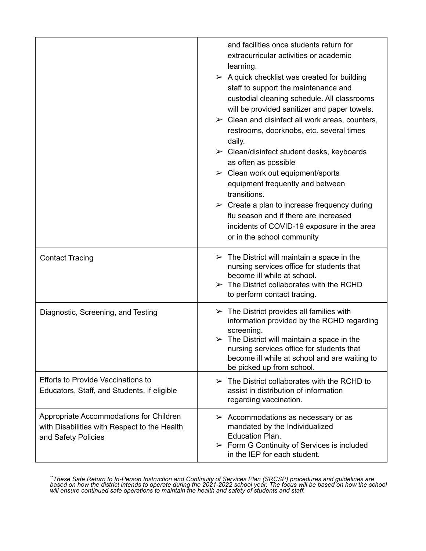|                                                                                                                | and facilities once students return for<br>extracurricular activities or academic<br>learning.<br>$\triangleright$ A quick checklist was created for building<br>staff to support the maintenance and<br>custodial cleaning schedule. All classrooms<br>will be provided sanitizer and paper towels.<br>$\triangleright$ Clean and disinfect all work areas, counters,<br>restrooms, doorknobs, etc. several times<br>daily.<br>$\triangleright$ Clean/disinfect student desks, keyboards<br>as often as possible<br>$\triangleright$ Clean work out equipment/sports<br>equipment frequently and between<br>transitions.<br>$\triangleright$ Create a plan to increase frequency during<br>flu season and if there are increased<br>incidents of COVID-19 exposure in the area<br>or in the school community |
|----------------------------------------------------------------------------------------------------------------|---------------------------------------------------------------------------------------------------------------------------------------------------------------------------------------------------------------------------------------------------------------------------------------------------------------------------------------------------------------------------------------------------------------------------------------------------------------------------------------------------------------------------------------------------------------------------------------------------------------------------------------------------------------------------------------------------------------------------------------------------------------------------------------------------------------|
| <b>Contact Tracing</b>                                                                                         | $\triangleright$ The District will maintain a space in the<br>nursing services office for students that<br>become ill while at school.<br>$\triangleright$ The District collaborates with the RCHD<br>to perform contact tracing.                                                                                                                                                                                                                                                                                                                                                                                                                                                                                                                                                                             |
| Diagnostic, Screening, and Testing                                                                             | $\triangleright$ The District provides all families with<br>information provided by the RCHD regarding<br>screening.<br>$\triangleright$ The District will maintain a space in the<br>nursing services office for students that<br>become ill while at school and are waiting to<br>be picked up from school.                                                                                                                                                                                                                                                                                                                                                                                                                                                                                                 |
| <b>Efforts to Provide Vaccinations to</b><br>Educators, Staff, and Students, if eligible                       | $\triangleright$ The District collaborates with the RCHD to<br>assist in distribution of information<br>regarding vaccination.                                                                                                                                                                                                                                                                                                                                                                                                                                                                                                                                                                                                                                                                                |
| Appropriate Accommodations for Children<br>with Disabilities with Respect to the Health<br>and Safety Policies | $\triangleright$ Accommodations as necessary or as<br>mandated by the Individualized<br>Education Plan.<br>$\triangleright$ Form G Continuity of Services is included<br>in the IEP for each student.                                                                                                                                                                                                                                                                                                                                                                                                                                                                                                                                                                                                         |

*\*\*These Safe Return to In-Person Instruction and Continuity of Services Plan (SRCSP) procedures and guidelines are based on how the district intends to operate during the 2021-2022 school year. The focus will be based on how the school will ensure continued safe operations to maintain the health and safety of students and staff.*